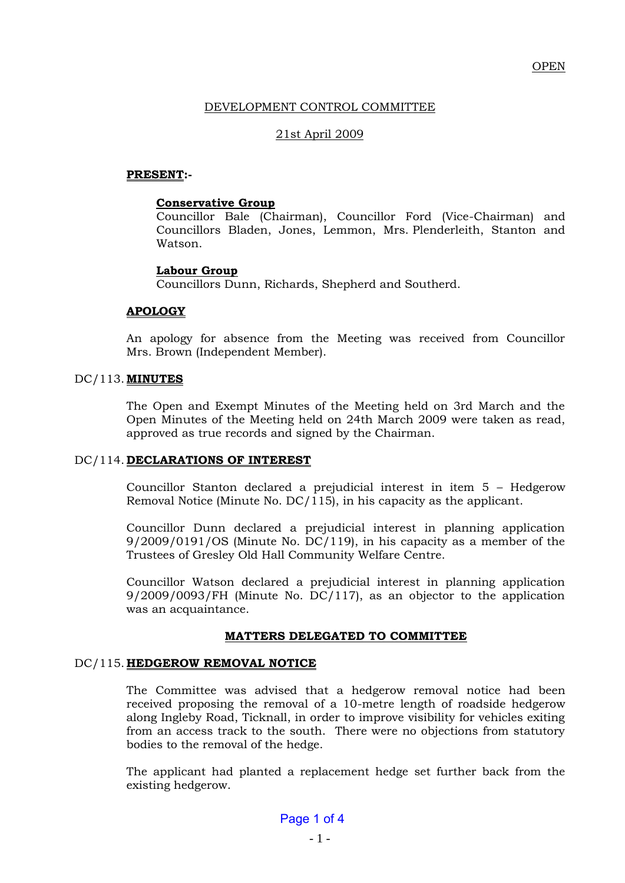# DEVELOPMENT CONTROL COMMITTEE

## 21st April 2009

### **PRESENT:-**

#### **Conservative Group**

Councillor Bale (Chairman), Councillor Ford (Vice-Chairman) and Councillors Bladen, Jones, Lemmon, Mrs. Plenderleith, Stanton and Watson.

#### **Labour Group**

Councillors Dunn, Richards, Shepherd and Southerd.

#### **APOLOGY**

An apology for absence from the Meeting was received from Councillor Mrs. Brown (Independent Member).

#### DC/113. **MINUTES**

The Open and Exempt Minutes of the Meeting held on 3rd March and the Open Minutes of the Meeting held on 24th March 2009 were taken as read, approved as true records and signed by the Chairman.

#### DC/114. **DECLARATIONS OF INTEREST**

Councillor Stanton declared a prejudicial interest in item 5 – Hedgerow Removal Notice (Minute No. DC/115), in his capacity as the applicant.

Councillor Dunn declared a prejudicial interest in planning application 9/2009/0191/OS (Minute No. DC/119), in his capacity as a member of the Trustees of Gresley Old Hall Community Welfare Centre.

Councillor Watson declared a prejudicial interest in planning application 9/2009/0093/FH (Minute No. DC/117), as an objector to the application was an acquaintance.

### **MATTERS DELEGATED TO COMMITTEE**

#### DC/115. **HEDGEROW REMOVAL NOTICE**

The Committee was advised that a hedgerow removal notice had been received proposing the removal of a 10-metre length of roadside hedgerow along Ingleby Road, Ticknall, in order to improve visibility for vehicles exiting from an access track to the south. There were no objections from statutory bodies to the removal of the hedge.

The applicant had planted a replacement hedge set further back from the existing hedgerow.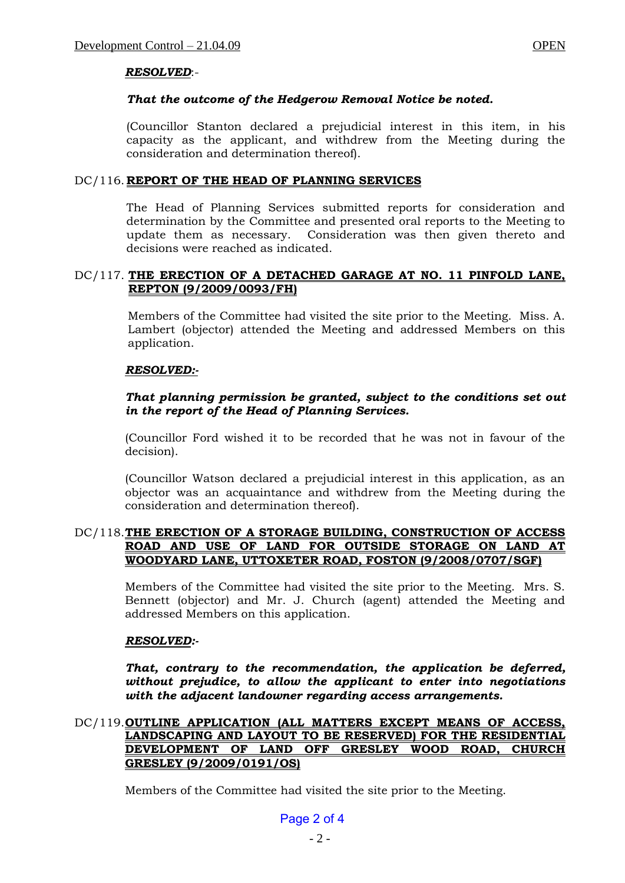# *RESOLVED*:-

# *That the outcome of the Hedgerow Removal Notice be noted.*

(Councillor Stanton declared a prejudicial interest in this item, in his capacity as the applicant, and withdrew from the Meeting during the consideration and determination thereof).

# DC/116. **REPORT OF THE HEAD OF PLANNING SERVICES**

The Head of Planning Services submitted reports for consideration and determination by the Committee and presented oral reports to the Meeting to update them as necessary. Consideration was then given thereto and decisions were reached as indicated.

## DC/117. **THE ERECTION OF A DETACHED GARAGE AT NO. 11 PINFOLD LANE, REPTON (9/2009/0093/FH)**

Members of the Committee had visited the site prior to the Meeting. Miss. A. Lambert (objector) attended the Meeting and addressed Members on this application.

# *RESOLVED:-*

# *That planning permission be granted, subject to the conditions set out in the report of the Head of Planning Services.*

(Councillor Ford wished it to be recorded that he was not in favour of the decision).

(Councillor Watson declared a prejudicial interest in this application, as an objector was an acquaintance and withdrew from the Meeting during the consideration and determination thereof).

# DC/118.**THE ERECTION OF A STORAGE BUILDING, CONSTRUCTION OF ACCESS ROAD AND USE OF LAND FOR OUTSIDE STORAGE ON LAND AT WOODYARD LANE, UTTOXETER ROAD, FOSTON (9/2008/0707/SGF)**

Members of the Committee had visited the site prior to the Meeting. Mrs. S. Bennett (objector) and Mr. J. Church (agent) attended the Meeting and addressed Members on this application.

# *RESOLVED:-*

*That, contrary to the recommendation, the application be deferred, without prejudice, to allow the applicant to enter into negotiations with the adjacent landowner regarding access arrangements.*

# DC/119.**OUTLINE APPLICATION (ALL MATTERS EXCEPT MEANS OF ACCESS, LANDSCAPING AND LAYOUT TO BE RESERVED) FOR THE RESIDENTIAL DEVELOPMENT OF LAND OFF GRESLEY WOOD ROAD, CHURCH GRESLEY (9/2009/0191/OS)**

Members of the Committee had visited the site prior to the Meeting.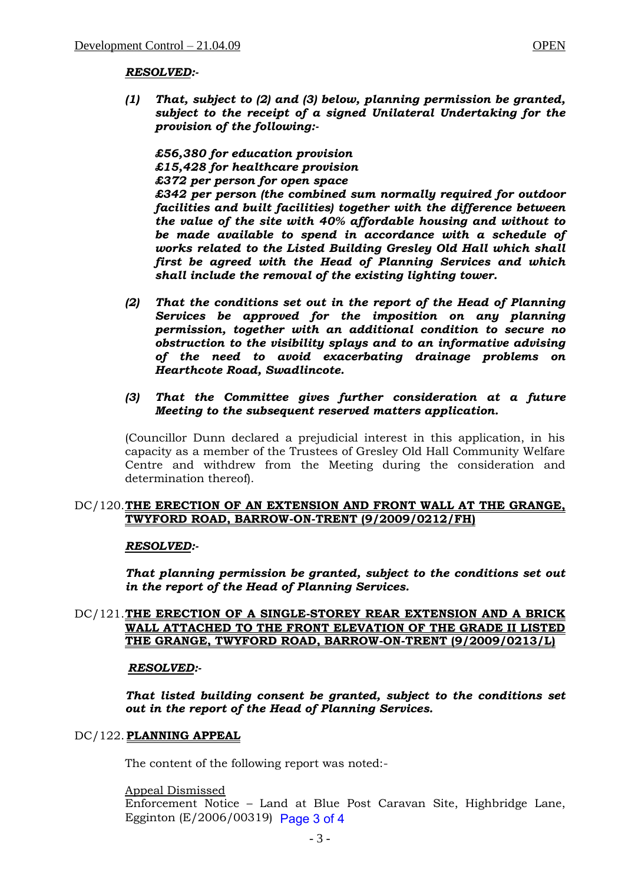### *RESOLVED:-*

*(1) That, subject to (2) and (3) below, planning permission be granted, subject to the receipt of a signed Unilateral Undertaking for the provision of the following:-*

*£56,380 for education provision £15,428 for healthcare provision £372 per person for open space £342 per person (the combined sum normally required for outdoor facilities and built facilities) together with the difference between the value of the site with 40% affordable housing and without to be made available to spend in accordance with a schedule of works related to the Listed Building Gresley Old Hall which shall first be agreed with the Head of Planning Services and which shall include the removal of the existing lighting tower.* 

*(2) That the conditions set out in the report of the Head of Planning Services be approved for the imposition on any planning permission, together with an additional condition to secure no obstruction to the visibility splays and to an informative advising of the need to avoid exacerbating drainage problems on Hearthcote Road, Swadlincote.*

## *(3) That the Committee gives further consideration at a future Meeting to the subsequent reserved matters application.*

(Councillor Dunn declared a prejudicial interest in this application, in his capacity as a member of the Trustees of Gresley Old Hall Community Welfare Centre and withdrew from the Meeting during the consideration and determination thereof).

# DC/120.**THE ERECTION OF AN EXTENSION AND FRONT WALL AT THE GRANGE, TWYFORD ROAD, BARROW-ON-TRENT (9/2009/0212/FH)**

### *RESOLVED:-*

*That planning permission be granted, subject to the conditions set out in the report of the Head of Planning Services.*

# DC/121.**THE ERECTION OF A SINGLE-STOREY REAR EXTENSION AND A BRICK WALL ATTACHED TO THE FRONT ELEVATION OF THE GRADE II LISTED THE GRANGE, TWYFORD ROAD, BARROW-ON-TRENT (9/2009/0213/L)**

### *RESOLVED:-*

*That listed building consent be granted, subject to the conditions set out in the report of the Head of Planning Services.*

### DC/122. **PLANNING APPEAL**

The content of the following report was noted:-

### Appeal Dismissed

Enforcement Notice – Land at Blue Post Caravan Site, Highbridge Lane, Egginton (E/2006/00319) Page 3 of 4